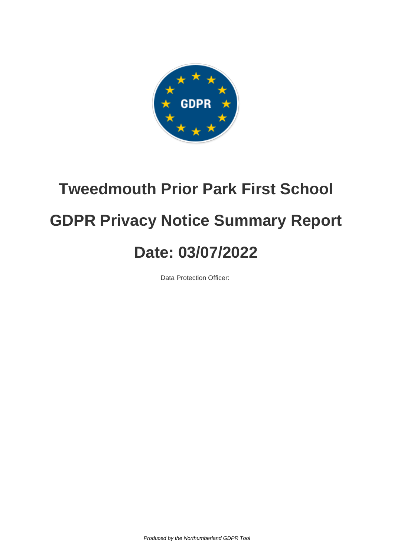

# **Tweedmouth Prior Park First School GDPR Privacy Notice Summary Report Date: 03/07/2022**

Data Protection Officer:

Produced by the Northumberland GDPR Tool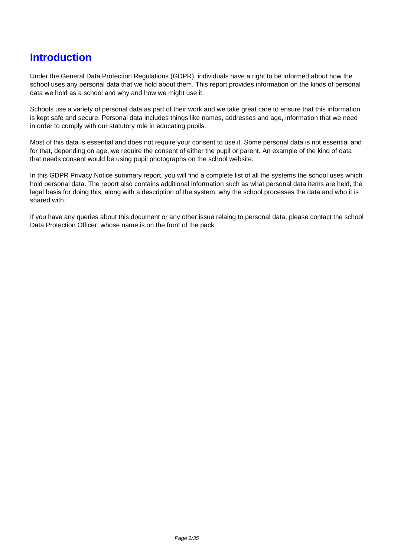### **Introduction**

Under the General Data Protection Regulations (GDPR), individuals have a right to be informed about how the school uses any personal data that we hold about them. This report provides information on the kinds of personal data we hold as a school and why and how we might use it.

Schools use a variety of personal data as part of their work and we take great care to ensure that this information is kept safe and secure. Personal data includes things like names, addresses and age, information that we need in order to comply with our statutory role in educating pupils.

Most of this data is essential and does not require your consent to use it. Some personal data is not essential and for that, depending on age, we require the consent of either the pupil or parent. An example of the kind of data that needs consent would be using pupil photographs on the school website.

In this GDPR Privacy Notice summary report, you will find a complete list of all the systems the school uses which hold personal data. The report also contains additional information such as what personal data items are held, the legal basis for doing this, along with a description of the system, why the school processes the data and who it is shared with.

If you have any queries about this document or any other issue relaing to personal data, please contact the school Data Protection Officer, whose name is on the front of the pack.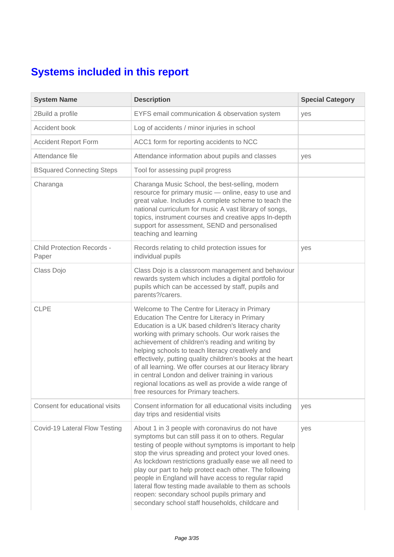## **Systems included in this report**

| <b>System Name</b>                         | <b>Description</b>                                                                                                                                                                                                                                                                                                                                                                                                                                                                                                                                                                                 | <b>Special Category</b> |
|--------------------------------------------|----------------------------------------------------------------------------------------------------------------------------------------------------------------------------------------------------------------------------------------------------------------------------------------------------------------------------------------------------------------------------------------------------------------------------------------------------------------------------------------------------------------------------------------------------------------------------------------------------|-------------------------|
| 2Build a profile                           | EYFS email communication & observation system                                                                                                                                                                                                                                                                                                                                                                                                                                                                                                                                                      | yes                     |
| Accident book                              | Log of accidents / minor injuries in school                                                                                                                                                                                                                                                                                                                                                                                                                                                                                                                                                        |                         |
| <b>Accident Report Form</b>                | ACC1 form for reporting accidents to NCC                                                                                                                                                                                                                                                                                                                                                                                                                                                                                                                                                           |                         |
| Attendance file                            | Attendance information about pupils and classes                                                                                                                                                                                                                                                                                                                                                                                                                                                                                                                                                    | yes                     |
| <b>BSquared Connecting Steps</b>           | Tool for assessing pupil progress                                                                                                                                                                                                                                                                                                                                                                                                                                                                                                                                                                  |                         |
| Charanga                                   | Charanga Music School, the best-selling, modern<br>resource for primary music - online, easy to use and<br>great value. Includes A complete scheme to teach the<br>national curriculum for music A vast library of songs,<br>topics, instrument courses and creative apps In-depth<br>support for assessment, SEND and personalised<br>teaching and learning                                                                                                                                                                                                                                       |                         |
| <b>Child Protection Records -</b><br>Paper | Records relating to child protection issues for<br>individual pupils                                                                                                                                                                                                                                                                                                                                                                                                                                                                                                                               | yes                     |
| Class Dojo                                 | Class Dojo is a classroom management and behaviour<br>rewards system which includes a digital portfolio for<br>pupils which can be accessed by staff, pupils and<br>parents?/carers.                                                                                                                                                                                                                                                                                                                                                                                                               |                         |
| <b>CLPE</b>                                | Welcome to The Centre for Literacy in Primary<br>Education The Centre for Literacy in Primary<br>Education is a UK based children's literacy charity<br>working with primary schools. Our work raises the<br>achievement of children's reading and writing by<br>helping schools to teach literacy creatively and<br>effectively, putting quality children's books at the heart<br>of all learning. We offer courses at our literacy library<br>in central London and deliver training in various<br>regional locations as well as provide a wide range of<br>free resources for Primary teachers. |                         |
| Consent for educational visits             | Consent information for all educational visits including<br>day trips and residential visits                                                                                                                                                                                                                                                                                                                                                                                                                                                                                                       | yes                     |
| Covid-19 Lateral Flow Testing              | About 1 in 3 people with coronavirus do not have<br>symptoms but can still pass it on to others. Regular<br>testing of people without symptoms is important to help<br>stop the virus spreading and protect your loved ones.<br>As lockdown restrictions gradually ease we all need to<br>play our part to help protect each other. The following<br>people in England will have access to regular rapid<br>lateral flow testing made available to them as schools<br>reopen: secondary school pupils primary and<br>secondary school staff households, childcare and                              | yes                     |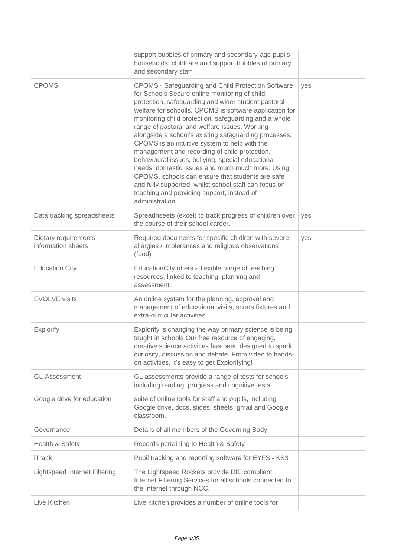|                                            | support bubbles of primary and secondary-age pupils<br>households, childcare and support bubbles of primary<br>and secondary staff                                                                                                                                                                                                                                                                                                                                                                                                                                                                                                                                                                                                                                                       |     |
|--------------------------------------------|------------------------------------------------------------------------------------------------------------------------------------------------------------------------------------------------------------------------------------------------------------------------------------------------------------------------------------------------------------------------------------------------------------------------------------------------------------------------------------------------------------------------------------------------------------------------------------------------------------------------------------------------------------------------------------------------------------------------------------------------------------------------------------------|-----|
| <b>CPOMS</b>                               | <b>CPOMS - Safeguarding and Child Protection Software</b><br>for Schools Secure online monitoring of child<br>protection, safeguarding and wider student pastoral<br>welfare for schoolls. CPOMS is software application for<br>monitoring child protection, safeguarding and a whole<br>range of pastoral and welfare issues. Working<br>alongside a school's existing safeguarding processes,<br>CPOMS is an intuitive system to help with the<br>management and recording of child protection,<br>behavioural issues, bullying, special educational<br>needs, domestic issues and much much more. Using<br>CPOMS, schools can ensure that students are safe<br>and fully supported, whilst school staff can focus on<br>teaching and providing support, instead of<br>administration. | yes |
| Data tracking spreadsheets                 | Spreadhseets (excel) to track progress of children over<br>the course of their school career.                                                                                                                                                                                                                                                                                                                                                                                                                                                                                                                                                                                                                                                                                            | yes |
| Dietary requirements<br>information sheets | Required documents for specific chidlren with severe<br>allergies / intolerances and religious observations<br>(food)                                                                                                                                                                                                                                                                                                                                                                                                                                                                                                                                                                                                                                                                    | yes |
| <b>Education City</b>                      | EducationCity offers a flexible range of teaching<br>resources, linked to teaching, planning and<br>assessment.                                                                                                                                                                                                                                                                                                                                                                                                                                                                                                                                                                                                                                                                          |     |
| <b>EVOLVE</b> visits                       | An online system for the planning, approval and<br>management of educational visits, sports fixtures and<br>extra-curricular activities.                                                                                                                                                                                                                                                                                                                                                                                                                                                                                                                                                                                                                                                 |     |
| Explorify                                  | Explorify is changing the way primary science is being<br>taught in schools Our free resource of engaging,<br>creative science activities has been designed to spark<br>curiosity, discussion and debate. From video to hands-<br>on activities, it's easy to get Explorifying!                                                                                                                                                                                                                                                                                                                                                                                                                                                                                                          |     |
| <b>GL-Assessment</b>                       | GL assessments provide a range of tests for schools<br>including reading, progress and cognitive tests                                                                                                                                                                                                                                                                                                                                                                                                                                                                                                                                                                                                                                                                                   |     |
| Google drive for education                 | suite of online tools for staff and pupils, including<br>Google drive, docs, slides, sheets, gmail and Google<br>classroom.                                                                                                                                                                                                                                                                                                                                                                                                                                                                                                                                                                                                                                                              |     |
| Governance                                 | Details of all members of the Governing Body                                                                                                                                                                                                                                                                                                                                                                                                                                                                                                                                                                                                                                                                                                                                             |     |
| Health & Safety                            | Records pertaining to Health & Safety                                                                                                                                                                                                                                                                                                                                                                                                                                                                                                                                                                                                                                                                                                                                                    |     |
| <b>iTrack</b>                              | Pupil tracking and reporting software for EYFS - KS3                                                                                                                                                                                                                                                                                                                                                                                                                                                                                                                                                                                                                                                                                                                                     |     |
| <b>Lightspeed Internet Filtering</b>       | The Lightspeed Rockets provide DfE compliant<br>Internet Filtering Services for all schools connected to<br>the Internet through NCC.                                                                                                                                                                                                                                                                                                                                                                                                                                                                                                                                                                                                                                                    |     |
| Live Kitchen                               | Live kitchen provides a number of online tools for                                                                                                                                                                                                                                                                                                                                                                                                                                                                                                                                                                                                                                                                                                                                       |     |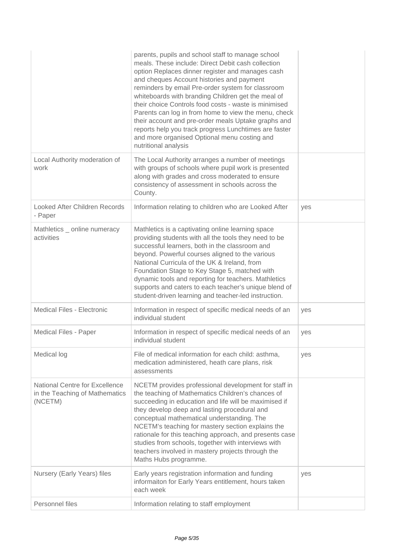|                                                                                    | parents, pupils and school staff to manage school<br>meals. These include: Direct Debit cash collection<br>option Replaces dinner register and manages cash<br>and cheques Account histories and payment<br>reminders by email Pre-order system for classroom<br>whiteboards with branding Children get the meal of<br>their choice Controls food costs - waste is minimised<br>Parents can log in from home to view the menu, check<br>their account and pre-order meals Uptake graphs and<br>reports help you track progress Lunchtimes are faster<br>and more organised Optional menu costing and<br>nutritional analysis |     |
|------------------------------------------------------------------------------------|------------------------------------------------------------------------------------------------------------------------------------------------------------------------------------------------------------------------------------------------------------------------------------------------------------------------------------------------------------------------------------------------------------------------------------------------------------------------------------------------------------------------------------------------------------------------------------------------------------------------------|-----|
| Local Authority moderation of<br>work                                              | The Local Authority arranges a number of meetings<br>with groups of schools where pupil work is presented<br>along with grades and cross moderated to ensure<br>consistency of assessment in schools across the<br>County.                                                                                                                                                                                                                                                                                                                                                                                                   |     |
| Looked After Children Records<br>- Paper                                           | Information relating to children who are Looked After                                                                                                                                                                                                                                                                                                                                                                                                                                                                                                                                                                        | yes |
| Mathletics _ online numeracy<br>activities                                         | Mathletics is a captivating online learning space<br>providing students with all the tools they need to be<br>successful learners, both in the classroom and<br>beyond. Powerful courses aligned to the various<br>National Curricula of the UK & Ireland, from<br>Foundation Stage to Key Stage 5, matched with<br>dynamic tools and reporting for teachers. Mathletics<br>supports and caters to each teacher's unique blend of<br>student-driven learning and teacher-led instruction.                                                                                                                                    |     |
| Medical Files - Electronic                                                         | Information in respect of specific medical needs of an<br>individual student                                                                                                                                                                                                                                                                                                                                                                                                                                                                                                                                                 | yes |
| Medical Files - Paper                                                              | Information in respect of specific medical needs of an<br>individual student                                                                                                                                                                                                                                                                                                                                                                                                                                                                                                                                                 | yes |
| Medical log                                                                        | File of medical information for each child: asthma,<br>medication administered, heath care plans, risk<br>assessments                                                                                                                                                                                                                                                                                                                                                                                                                                                                                                        | yes |
| <b>National Centre for Excellence</b><br>in the Teaching of Mathematics<br>(NCETM) | NCETM provides professional development for staff in<br>the teaching of Mathematics Children's chances of<br>succeeding in education and life will be maximised if<br>they develop deep and lasting procedural and<br>conceptual mathematical understanding. The<br>NCETM's teaching for mastery section explains the<br>rationale for this teaching approach, and presents case<br>studies from schools, together with interviews with<br>teachers involved in mastery projects through the<br>Maths Hubs programme.                                                                                                        |     |
| Nursery (Early Years) files                                                        | Early years registration information and funding<br>informaiton for Early Years entitlement, hours taken<br>each week                                                                                                                                                                                                                                                                                                                                                                                                                                                                                                        | yes |
| Personnel files                                                                    | Information relating to staff employment                                                                                                                                                                                                                                                                                                                                                                                                                                                                                                                                                                                     |     |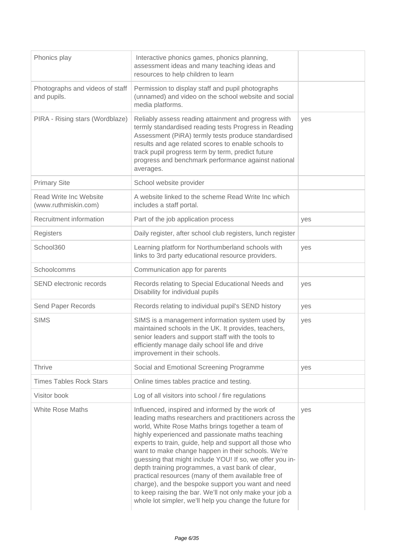| Phonics play                                   | Interactive phonics games, phonics planning,<br>assessment ideas and many teaching ideas and<br>resources to help children to learn                                                                                                                                                                                                                                                                                                                                                                                                                                                                                                                                                     |     |
|------------------------------------------------|-----------------------------------------------------------------------------------------------------------------------------------------------------------------------------------------------------------------------------------------------------------------------------------------------------------------------------------------------------------------------------------------------------------------------------------------------------------------------------------------------------------------------------------------------------------------------------------------------------------------------------------------------------------------------------------------|-----|
| Photographs and videos of staff<br>and pupils. | Permission to display staff and pupil photographs<br>(unnamed) and video on the school website and social<br>media platforms.                                                                                                                                                                                                                                                                                                                                                                                                                                                                                                                                                           |     |
| PIRA - Rising stars (Wordblaze)                | Reliably assess reading attainment and progress with<br>termly standardised reading tests Progress in Reading<br>Assessment (PiRA) termly tests produce standardised<br>results and age related scores to enable schools to<br>track pupil progress term by term, predict future<br>progress and benchmark performance against national<br>averages.                                                                                                                                                                                                                                                                                                                                    | yes |
| <b>Primary Site</b>                            | School website provider                                                                                                                                                                                                                                                                                                                                                                                                                                                                                                                                                                                                                                                                 |     |
| Read Write Inc Website<br>(www.ruthmiskin.com) | A website linked to the scheme Read Write Inc which<br>includes a staff portal.                                                                                                                                                                                                                                                                                                                                                                                                                                                                                                                                                                                                         |     |
| Recruitment information                        | Part of the job application process                                                                                                                                                                                                                                                                                                                                                                                                                                                                                                                                                                                                                                                     | yes |
| Registers                                      | Daily register, after school club registers, lunch register                                                                                                                                                                                                                                                                                                                                                                                                                                                                                                                                                                                                                             |     |
| School360                                      | Learning platform for Northumberland schools with<br>links to 3rd party educational resource providers.                                                                                                                                                                                                                                                                                                                                                                                                                                                                                                                                                                                 | yes |
| Schoolcomms                                    | Communication app for parents                                                                                                                                                                                                                                                                                                                                                                                                                                                                                                                                                                                                                                                           |     |
| SEND electronic records                        | Records relating to Special Educational Needs and<br>Disability for individual pupils                                                                                                                                                                                                                                                                                                                                                                                                                                                                                                                                                                                                   | yes |
| Send Paper Records                             | Records relating to individual pupil's SEND history                                                                                                                                                                                                                                                                                                                                                                                                                                                                                                                                                                                                                                     | yes |
| <b>SIMS</b>                                    | SIMS is a management information system used by<br>maintained schools in the UK. It provides, teachers,<br>senior leaders and support staff with the tools to<br>efficiently manage daily school life and drive<br>improvement in their schools.                                                                                                                                                                                                                                                                                                                                                                                                                                        | yes |
| <b>Thrive</b>                                  | Social and Emotional Screening Programme                                                                                                                                                                                                                                                                                                                                                                                                                                                                                                                                                                                                                                                | yes |
| <b>Times Tables Rock Stars</b>                 | Online times tables practice and testing.                                                                                                                                                                                                                                                                                                                                                                                                                                                                                                                                                                                                                                               |     |
| Visitor book                                   | Log of all visitors into school / fire regulations                                                                                                                                                                                                                                                                                                                                                                                                                                                                                                                                                                                                                                      |     |
| <b>White Rose Maths</b>                        | Influenced, inspired and informed by the work of<br>leading maths researchers and practitioners across the<br>world, White Rose Maths brings together a team of<br>highly experienced and passionate maths teaching<br>experts to train, guide, help and support all those who<br>want to make change happen in their schools. We're<br>guessing that might include YOU! If so, we offer you in-<br>depth training programmes, a vast bank of clear,<br>practical resources (many of them available free of<br>charge), and the bespoke support you want and need<br>to keep raising the bar. We'll not only make your job a<br>whole lot simpler, we'll help you change the future for | yes |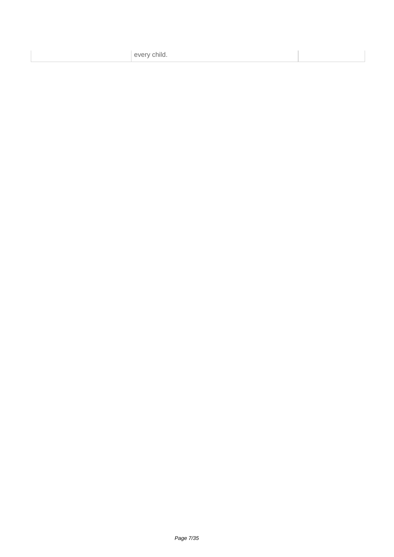every child.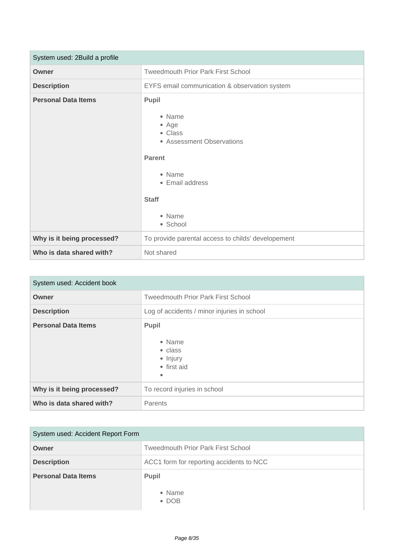| System used: 2Build a profile |                                                                                                                                                      |
|-------------------------------|------------------------------------------------------------------------------------------------------------------------------------------------------|
| Owner                         | <b>Tweedmouth Prior Park First School</b>                                                                                                            |
| <b>Description</b>            | EYFS email communication & observation system                                                                                                        |
| <b>Personal Data Items</b>    | Pupil<br>• Name<br>• Age<br>• Class<br>• Assessment Observations<br><b>Parent</b><br>• Name<br>• Email address<br><b>Staff</b><br>• Name<br>• School |
| Why is it being processed?    | To provide parental access to childs' developement                                                                                                   |
| Who is data shared with?      | Not shared                                                                                                                                           |

| System used: Accident book |                                                                                   |
|----------------------------|-----------------------------------------------------------------------------------|
| Owner                      | <b>Tweedmouth Prior Park First School</b>                                         |
| <b>Description</b>         | Log of accidents / minor injuries in school                                       |
| <b>Personal Data Items</b> | <b>Pupil</b><br>• Name<br>$\bullet$ class<br>• Injury<br>• first aid<br>$\bullet$ |
| Why is it being processed? | To record injuries in school                                                      |
| Who is data shared with?   | Parents                                                                           |

| System used: Accident Report Form |                                           |
|-----------------------------------|-------------------------------------------|
| Owner                             | <b>Tweedmouth Prior Park First School</b> |
| <b>Description</b>                | ACC1 form for reporting accidents to NCC  |
| <b>Personal Data Items</b>        | <b>Pupil</b>                              |
|                                   | • Name<br>$\bullet$ DOB                   |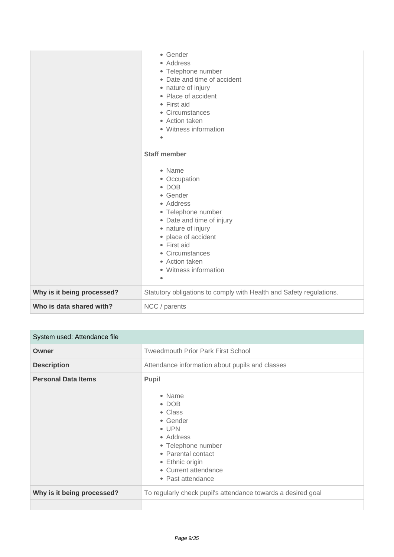|                            | • Gender<br>• Address<br>• Telephone number<br>• Date and time of accident<br>• nature of injury<br>• Place of accident<br>• First aid<br>• Circumstances<br>• Action taken<br>• Witness information<br>۰<br><b>Staff member</b><br>• Name<br>• Occupation<br>$\bullet$ DOB<br>• Gender<br>• Address<br>• Telephone number<br>• Date and time of injury<br>• nature of injury<br>• place of accident<br>• First aid<br>• Circumstances<br>• Action taken<br>• Witness information<br>$\bullet$ |
|----------------------------|------------------------------------------------------------------------------------------------------------------------------------------------------------------------------------------------------------------------------------------------------------------------------------------------------------------------------------------------------------------------------------------------------------------------------------------------------------------------------------------------|
| Why is it being processed? | Statutory obligations to comply with Health and Safety regulations.                                                                                                                                                                                                                                                                                                                                                                                                                            |
| Who is data shared with?   | NCC / parents                                                                                                                                                                                                                                                                                                                                                                                                                                                                                  |

| System used: Attendance file |                                                                                                                                                                                                   |  |
|------------------------------|---------------------------------------------------------------------------------------------------------------------------------------------------------------------------------------------------|--|
| Owner                        | <b>Tweedmouth Prior Park First School</b>                                                                                                                                                         |  |
| <b>Description</b>           | Attendance information about pupils and classes                                                                                                                                                   |  |
| <b>Personal Data Items</b>   | Pupil<br>• Name<br>$\bullet$ DOB<br>• Class<br>• Gender<br>$\bullet$ UPN<br>• Address<br>• Telephone number<br>• Parental contact<br>• Ethnic origin<br>• Current attendance<br>• Past attendance |  |
| Why is it being processed?   | To regularly check pupil's attendance towards a desired goal                                                                                                                                      |  |
|                              |                                                                                                                                                                                                   |  |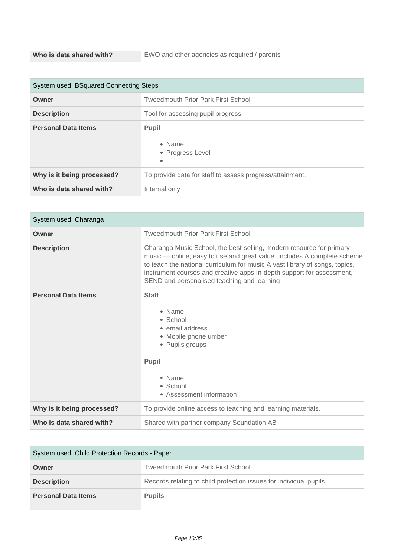| System used: BSquared Connecting Steps |                                                          |  |
|----------------------------------------|----------------------------------------------------------|--|
| Owner                                  | <b>Tweedmouth Prior Park First School</b>                |  |
| <b>Description</b>                     | Tool for assessing pupil progress                        |  |
| <b>Personal Data Items</b>             | <b>Pupil</b><br>• Name<br>• Progress Level<br>٠          |  |
| Why is it being processed?             | To provide data for staff to assess progress/attainment. |  |
| Who is data shared with?               | Internal only                                            |  |

| System used: Charanga      |                                                                                                                                                                                                                                                                                                                                                        |  |
|----------------------------|--------------------------------------------------------------------------------------------------------------------------------------------------------------------------------------------------------------------------------------------------------------------------------------------------------------------------------------------------------|--|
| Owner                      | <b>Tweedmouth Prior Park First School</b>                                                                                                                                                                                                                                                                                                              |  |
| <b>Description</b>         | Charanga Music School, the best-selling, modern resource for primary<br>music - online, easy to use and great value. Includes A complete scheme<br>to teach the national curriculum for music A vast library of songs, topics,<br>instrument courses and creative apps In-depth support for assessment,<br>SEND and personalised teaching and learning |  |
| <b>Personal Data Items</b> | <b>Staff</b><br>• Name<br>• School<br>• email address<br>• Mobile phone umber<br>• Pupils groups<br><b>Pupil</b><br>• Name<br>$\bullet$ School<br>• Assessment information                                                                                                                                                                             |  |
| Why is it being processed? | To provide online access to teaching and learning materials.                                                                                                                                                                                                                                                                                           |  |
| Who is data shared with?   | Shared with partner company Soundation AB                                                                                                                                                                                                                                                                                                              |  |

| System used: Child Protection Records - Paper |                                                                   |
|-----------------------------------------------|-------------------------------------------------------------------|
| Owner                                         | <b>Tweedmouth Prior Park First School</b>                         |
| <b>Description</b>                            | Records relating to child protection issues for individual pupils |
| <b>Personal Data Items</b>                    | <b>Pupils</b>                                                     |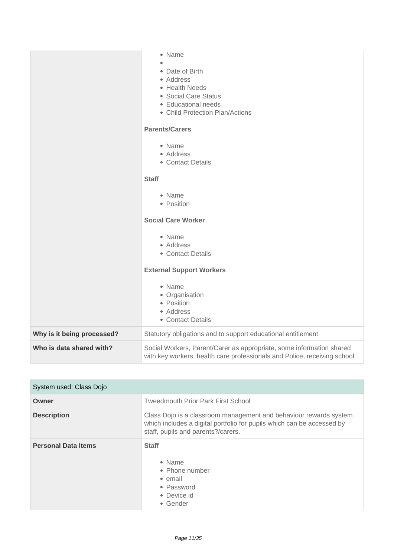|                            | • Name<br>• Date of Birth<br>• Address<br>• Health Needs<br>• Social Care Status<br>• Educational needs<br>• Child Protection Plan/Actions<br><b>Parents/Carers</b><br>• Name<br>• Address<br>• Contact Details<br><b>Staff</b><br>• Name<br>• Position<br><b>Social Care Worker</b><br>• Name<br>• Address<br>• Contact Details<br><b>External Support Workers</b><br>• Name<br>• Organisation<br>• Position<br>• Address<br>• Contact Details |
|----------------------------|-------------------------------------------------------------------------------------------------------------------------------------------------------------------------------------------------------------------------------------------------------------------------------------------------------------------------------------------------------------------------------------------------------------------------------------------------|
| Why is it being processed? | Statutory obligations and to support educational entitlement                                                                                                                                                                                                                                                                                                                                                                                    |
| Who is data shared with?   | Social Workers, Parent/Carer as appropriate, some information shared<br>with key workers, health care professionals and Police, receiving school                                                                                                                                                                                                                                                                                                |

| System used: Class Dojo    |                                                                                                                                                                                   |
|----------------------------|-----------------------------------------------------------------------------------------------------------------------------------------------------------------------------------|
| Owner                      | <b>Tweedmouth Prior Park First School</b>                                                                                                                                         |
| <b>Description</b>         | Class Dojo is a classroom management and behaviour rewards system<br>which includes a digital portfolio for pupils which can be accessed by<br>staff, pupils and parents?/carers. |
| <b>Personal Data Items</b> | <b>Staff</b><br>$\bullet$ Name<br>• Phone number<br>• email<br>• Password<br>• Device id<br>• Gender                                                                              |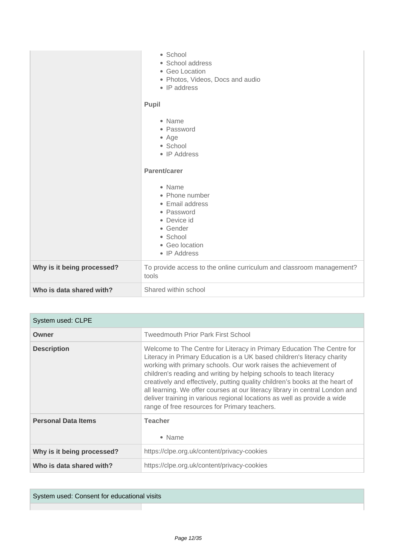|                            | · School<br>• School address<br>• Geo Location<br>• Photos, Videos, Docs and audio<br>• IP address<br>Pupil<br>• Name<br>• Password<br>• Age<br>• School<br>• IP Address<br>Parent/carer<br>• Name<br>• Phone number<br>• Email address<br>• Password<br>• Device id |
|----------------------------|----------------------------------------------------------------------------------------------------------------------------------------------------------------------------------------------------------------------------------------------------------------------|
|                            | • Gender<br>• School<br>• Geo location<br>• IP Address                                                                                                                                                                                                               |
| Why is it being processed? | To provide access to the online curriculum and classroom management?<br>tools                                                                                                                                                                                        |
| Who is data shared with?   | Shared within school                                                                                                                                                                                                                                                 |

| System used: CLPE          |                                                                                                                                                                                                                                                                                                                                                                                                                                                                                                                                                                                           |
|----------------------------|-------------------------------------------------------------------------------------------------------------------------------------------------------------------------------------------------------------------------------------------------------------------------------------------------------------------------------------------------------------------------------------------------------------------------------------------------------------------------------------------------------------------------------------------------------------------------------------------|
| Owner                      | <b>Tweedmouth Prior Park First School</b>                                                                                                                                                                                                                                                                                                                                                                                                                                                                                                                                                 |
| <b>Description</b>         | Welcome to The Centre for Literacy in Primary Education The Centre for<br>Literacy in Primary Education is a UK based children's literacy charity<br>working with primary schools. Our work raises the achievement of<br>children's reading and writing by helping schools to teach literacy<br>creatively and effectively, putting quality children's books at the heart of<br>all learning. We offer courses at our literacy library in central London and<br>deliver training in various regional locations as well as provide a wide<br>range of free resources for Primary teachers. |
| <b>Personal Data Items</b> | <b>Teacher</b><br>• Name                                                                                                                                                                                                                                                                                                                                                                                                                                                                                                                                                                  |
| Why is it being processed? | https://clpe.org.uk/content/privacy-cookies                                                                                                                                                                                                                                                                                                                                                                                                                                                                                                                                               |
| Who is data shared with?   | https://clpe.org.uk/content/privacy-cookies                                                                                                                                                                                                                                                                                                                                                                                                                                                                                                                                               |

System used: Consent for educational visits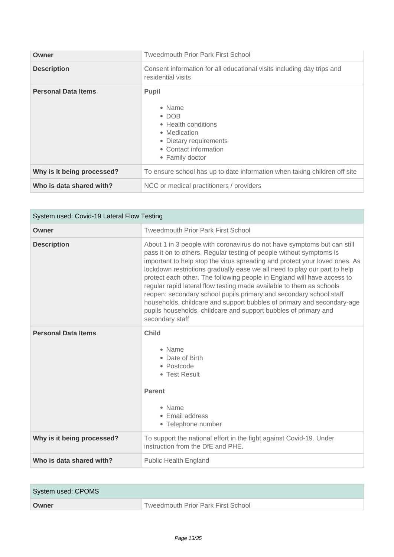| Owner                      | <b>Tweedmouth Prior Park First School</b>                                                                                                            |
|----------------------------|------------------------------------------------------------------------------------------------------------------------------------------------------|
| <b>Description</b>         | Consent information for all educational visits including day trips and<br>residential visits                                                         |
| <b>Personal Data Items</b> | <b>Pupil</b><br>• Name<br>$\bullet$ DOB<br>• Health conditions<br>• Medication<br>• Dietary requirements<br>• Contact information<br>• Family doctor |
| Why is it being processed? | To ensure school has up to date information when taking children off site                                                                            |
| Who is data shared with?   | NCC or medical practitioners / providers                                                                                                             |

| System used: Covid-19 Lateral Flow Testing |                                                                                                                                                                                                                                                                                                                                                                                                                                                                                                                                                                                                                                                                                                    |
|--------------------------------------------|----------------------------------------------------------------------------------------------------------------------------------------------------------------------------------------------------------------------------------------------------------------------------------------------------------------------------------------------------------------------------------------------------------------------------------------------------------------------------------------------------------------------------------------------------------------------------------------------------------------------------------------------------------------------------------------------------|
| Owner                                      | <b>Tweedmouth Prior Park First School</b>                                                                                                                                                                                                                                                                                                                                                                                                                                                                                                                                                                                                                                                          |
| <b>Description</b>                         | About 1 in 3 people with coronavirus do not have symptoms but can still<br>pass it on to others. Regular testing of people without symptoms is<br>important to help stop the virus spreading and protect your loved ones. As<br>lockdown restrictions gradually ease we all need to play our part to help<br>protect each other. The following people in England will have access to<br>regular rapid lateral flow testing made available to them as schools<br>reopen: secondary school pupils primary and secondary school staff<br>households, childcare and support bubbles of primary and secondary-age<br>pupils households, childcare and support bubbles of primary and<br>secondary staff |
| <b>Personal Data Items</b>                 | <b>Child</b><br>• Name<br>• Date of Birth<br>• Postcode<br>• Test Result<br><b>Parent</b><br>• Name<br>• Email address<br>• Telephone number                                                                                                                                                                                                                                                                                                                                                                                                                                                                                                                                                       |
| Why is it being processed?                 | To support the national effort in the fight against Covid-19. Under<br>instruction from the DfE and PHE.                                                                                                                                                                                                                                                                                                                                                                                                                                                                                                                                                                                           |
| Who is data shared with?                   | <b>Public Health England</b>                                                                                                                                                                                                                                                                                                                                                                                                                                                                                                                                                                                                                                                                       |

| System used: CPOMS |                                    |
|--------------------|------------------------------------|
| Owner              | Tweedmouth Prior Park First School |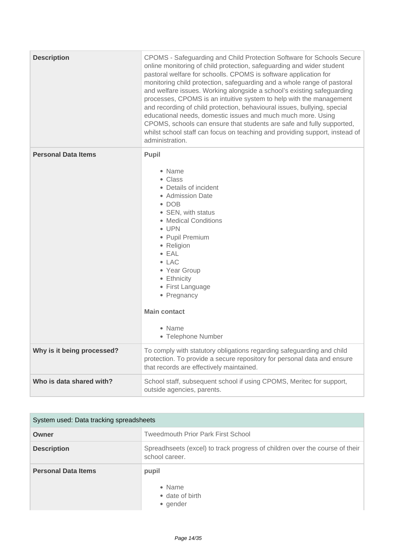| <b>Description</b>         | CPOMS - Safeguarding and Child Protection Software for Schools Secure<br>online monitoring of child protection, safeguarding and wider student<br>pastoral welfare for schoolls. CPOMS is software application for<br>monitoring child protection, safeguarding and a whole range of pastoral<br>and welfare issues. Working alongside a school's existing safeguarding<br>processes, CPOMS is an intuitive system to help with the management<br>and recording of child protection, behavioural issues, bullying, special<br>educational needs, domestic issues and much much more. Using<br>CPOMS, schools can ensure that students are safe and fully supported,<br>whilst school staff can focus on teaching and providing support, instead of<br>administration. |
|----------------------------|-----------------------------------------------------------------------------------------------------------------------------------------------------------------------------------------------------------------------------------------------------------------------------------------------------------------------------------------------------------------------------------------------------------------------------------------------------------------------------------------------------------------------------------------------------------------------------------------------------------------------------------------------------------------------------------------------------------------------------------------------------------------------|
| <b>Personal Data Items</b> | Pupil<br>• Name<br>• Class<br>• Details of incident<br>• Admission Date<br>$\bullet$ DOB<br>• SEN, with status<br>• Medical Conditions<br>$\bullet$ UPN<br>• Pupil Premium<br>• Religion<br>$\bullet$ EAL<br>$\bullet$ LAC<br>• Year Group<br>• Ethnicity<br>• First Language<br>• Pregnancy<br><b>Main contact</b><br>• Name<br>• Telephone Number                                                                                                                                                                                                                                                                                                                                                                                                                   |
| Why is it being processed? | To comply with statutory obligations regarding safeguarding and child<br>protection. To provide a secure repository for personal data and ensure<br>that records are effectively maintained.                                                                                                                                                                                                                                                                                                                                                                                                                                                                                                                                                                          |
| Who is data shared with?   | School staff, subsequent school if using CPOMS, Meritec for support,<br>outside agencies, parents.                                                                                                                                                                                                                                                                                                                                                                                                                                                                                                                                                                                                                                                                    |

| System used: Data tracking spreadsheets |                                                                                               |
|-----------------------------------------|-----------------------------------------------------------------------------------------------|
| Owner                                   | <b>Tweedmouth Prior Park First School</b>                                                     |
| <b>Description</b>                      | Spreadhseets (excel) to track progress of children over the course of their<br>school career. |
| <b>Personal Data Items</b>              | pupil<br>• Name<br>• date of birth<br>• gender                                                |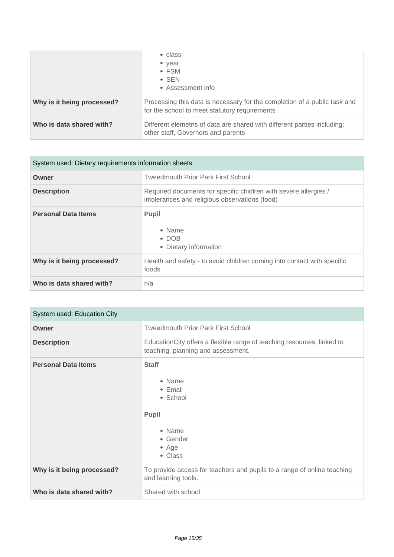|                            | • class<br>• year<br>$\bullet$ FSM<br>$\bullet$ SEN<br>• Assessment info                                                   |
|----------------------------|----------------------------------------------------------------------------------------------------------------------------|
| Why is it being processed? | Processing this data is necessary for the completion of a public task and<br>for the school to meet statutory requirements |
| Who is data shared with?   | Different elemetns of data are shared with different parties including:<br>other staff, Governors and parents              |

| System used: Dietary requirements information sheets |                                                                                                                    |
|------------------------------------------------------|--------------------------------------------------------------------------------------------------------------------|
| Owner                                                | <b>Tweedmouth Prior Park First School</b>                                                                          |
| <b>Description</b>                                   | Required documents for specific chidlren with severe allergies /<br>intolerances and religious observations (food) |
| <b>Personal Data Items</b>                           | <b>Pupil</b><br>• Name<br>$\cdot$ DOB<br>• Dietary information                                                     |
| Why is it being processed?                           | Health and safety - to avoid children coming into contact with specific<br>foods                                   |
| Who is data shared with?                             | n/a                                                                                                                |

| System used: Education City |                                                                                                               |
|-----------------------------|---------------------------------------------------------------------------------------------------------------|
| Owner                       | <b>Tweedmouth Prior Park First School</b>                                                                     |
| <b>Description</b>          | Education City offers a flexible range of teaching resources, linked to<br>teaching, planning and assessment. |
| <b>Personal Data Items</b>  | <b>Staff</b><br>• Name<br>• Email<br>• School<br><b>Pupil</b><br>• Name<br>• Gender<br>$•$ Age<br>• Class     |
| Why is it being processed?  | To provide access for teachers and pupils to a range of online teaching<br>and learning tools.                |
| Who is data shared with?    | Shared with school                                                                                            |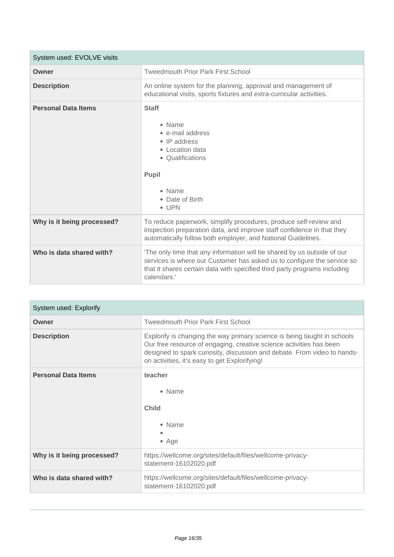| System used: EVOLVE visits |                                                                                                                                                                                                                                                |
|----------------------------|------------------------------------------------------------------------------------------------------------------------------------------------------------------------------------------------------------------------------------------------|
| Owner                      | <b>Tweedmouth Prior Park First School</b>                                                                                                                                                                                                      |
| <b>Description</b>         | An online system for the planning, approval and management of<br>educational visits, sports fixtures and extra-curricular activities.                                                                                                          |
| <b>Personal Data Items</b> | <b>Staff</b><br>• Name<br>• e-mail address<br>$\bullet$ IP address<br>• Location data<br>• Qualifications<br>Pupil<br>• Name<br>• Date of Birth<br>$\bullet$ UPN                                                                               |
| Why is it being processed? | To reduce paperwork, simplify procedures, produce self-review and<br>inspection preparation data, and improve staff confidence in that they<br>automatically follow both employer, and National Guidelines.                                    |
| Who is data shared with?   | 'The only time that any information will be shared by us outside of our<br>services is where our Customer has asked us to configure the service so<br>that it shares certain data with specified third party programs including<br>calendars.' |

| System used: Explorify     |                                                                                                                                                                                                                                                                              |
|----------------------------|------------------------------------------------------------------------------------------------------------------------------------------------------------------------------------------------------------------------------------------------------------------------------|
| Owner                      | <b>Tweedmouth Prior Park First School</b>                                                                                                                                                                                                                                    |
| <b>Description</b>         | Explorify is changing the way primary science is being taught in schools<br>Our free resource of engaging, creative science activities has been<br>designed to spark curiosity, discussion and debate. From video to hands-<br>on activities, it's easy to get Explorifying! |
| <b>Personal Data Items</b> | teacher<br>• Name<br><b>Child</b><br>• Name<br>$•$ Age                                                                                                                                                                                                                       |
| Why is it being processed? | https://wellcome.org/sites/default/files/wellcome-privacy-<br>statement-16102020.pdf                                                                                                                                                                                         |
| Who is data shared with?   | https://wellcome.org/sites/default/files/wellcome-privacy-<br>statement-16102020.pdf                                                                                                                                                                                         |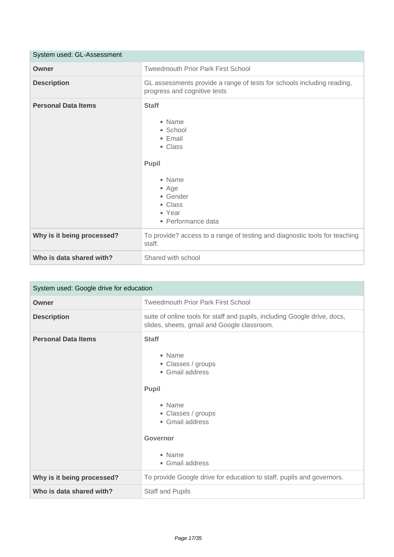| System used: GL-Assessment |                                                                                                                                                             |
|----------------------------|-------------------------------------------------------------------------------------------------------------------------------------------------------------|
| Owner                      | <b>Tweedmouth Prior Park First School</b>                                                                                                                   |
| <b>Description</b>         | GL assessments provide a range of tests for schools including reading,<br>progress and cognitive tests                                                      |
| <b>Personal Data Items</b> | <b>Staff</b><br>• Name<br>• School<br>$\bullet$ Email<br>• Class<br>Pupil<br>• Name<br>$\bullet$ Age<br>• Gender<br>• Class<br>• Year<br>• Performance data |
| Why is it being processed? | To provide? access to a range of testing and diagnostic tools for teaching<br>staff.                                                                        |
| Who is data shared with?   | Shared with school                                                                                                                                          |

| System used: Google drive for education |                                                                                                                                                                             |
|-----------------------------------------|-----------------------------------------------------------------------------------------------------------------------------------------------------------------------------|
| Owner                                   | <b>Tweedmouth Prior Park First School</b>                                                                                                                                   |
| <b>Description</b>                      | suite of online tools for staff and pupils, including Google drive, docs,<br>slides, sheets, gmail and Google classroom.                                                    |
| <b>Personal Data Items</b>              | <b>Staff</b><br>• Name<br>• Classes / groups<br>• Gmail address<br><b>Pupil</b><br>• Name<br>• Classes / groups<br>• Gmail address<br>Governor<br>• Name<br>• Gmail address |
| Why is it being processed?              | To provide Google drive for education to staff, pupils and governors.                                                                                                       |
| Who is data shared with?                | <b>Staff and Pupils</b>                                                                                                                                                     |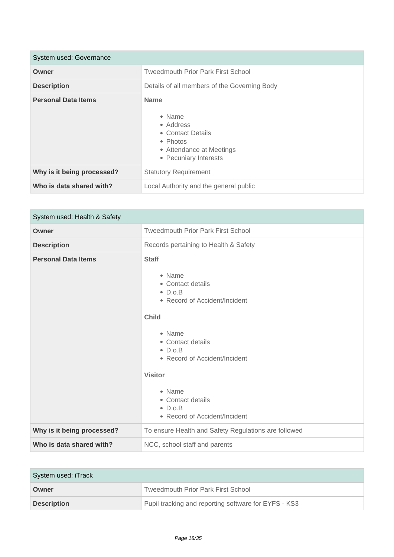| System used: Governance    |                                                                                                                          |
|----------------------------|--------------------------------------------------------------------------------------------------------------------------|
| Owner                      | <b>Tweedmouth Prior Park First School</b>                                                                                |
| <b>Description</b>         | Details of all members of the Governing Body                                                                             |
| <b>Personal Data Items</b> | <b>Name</b><br>• Name<br>• Address<br>• Contact Details<br>• Photos<br>• Attendance at Meetings<br>• Pecuniary Interests |
| Why is it being processed? | <b>Statutory Requirement</b>                                                                                             |
| Who is data shared with?   | Local Authority and the general public                                                                                   |

| System used: Health & Safety |                                                                                                                                                                                                                                                                                                         |
|------------------------------|---------------------------------------------------------------------------------------------------------------------------------------------------------------------------------------------------------------------------------------------------------------------------------------------------------|
| Owner                        | <b>Tweedmouth Prior Park First School</b>                                                                                                                                                                                                                                                               |
| <b>Description</b>           | Records pertaining to Health & Safety                                                                                                                                                                                                                                                                   |
| <b>Personal Data Items</b>   | <b>Staff</b><br>• Name<br>• Contact details<br>$\bullet$ D.o.B<br>• Record of Accident/Incident<br><b>Child</b><br>• Name<br>• Contact details<br>$\bullet$ D.o.B<br>• Record of Accident/Incident<br><b>Visitor</b><br>• Name<br>• Contact details<br>$\bullet$ D.o.B<br>• Record of Accident/Incident |
| Why is it being processed?   | To ensure Health and Safety Regulations are followed                                                                                                                                                                                                                                                    |
| Who is data shared with?     | NCC, school staff and parents                                                                                                                                                                                                                                                                           |

| System used: iTrack |                                                      |
|---------------------|------------------------------------------------------|
| Owner               | <b>Tweedmouth Prior Park First School</b>            |
| <b>Description</b>  | Pupil tracking and reporting software for EYFS - KS3 |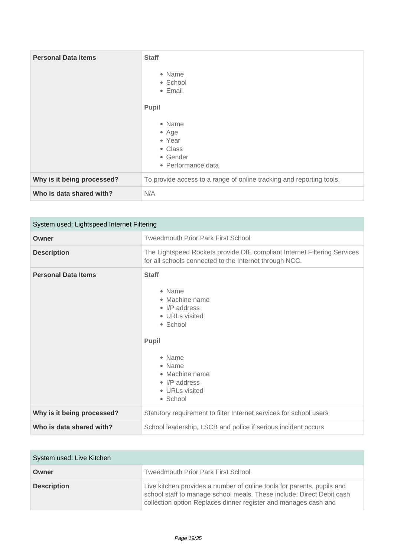| <b>Personal Data Items</b> | <b>Staff</b><br>• Name<br>• School<br>• Email<br>Pupil<br>• Name<br>$•$ Age<br>• Year<br>• Class<br>• Gender<br>• Performance data |
|----------------------------|------------------------------------------------------------------------------------------------------------------------------------|
| Why is it being processed? | To provide access to a range of online tracking and reporting tools.                                                               |
| Who is data shared with?   | N/A                                                                                                                                |

| System used: Lightspeed Internet Filtering |                                                                                                                                                                                              |
|--------------------------------------------|----------------------------------------------------------------------------------------------------------------------------------------------------------------------------------------------|
| Owner                                      | <b>Tweedmouth Prior Park First School</b>                                                                                                                                                    |
| <b>Description</b>                         | The Lightspeed Rockets provide DfE compliant Internet Filtering Services<br>for all schools connected to the Internet through NCC.                                                           |
| <b>Personal Data Items</b>                 | <b>Staff</b><br>• Name<br>• Machine name<br>• I/P address<br>• URLs visited<br>• School<br><b>Pupil</b><br>• Name<br>• Name<br>• Machine name<br>• I/P address<br>• URLs visited<br>• School |
| Why is it being processed?                 | Statutory requirement to filter Internet services for school users                                                                                                                           |
| Who is data shared with?                   | School leadership, LSCB and police if serious incident occurs                                                                                                                                |

| System used: Live Kitchen |                                                                                                                                                                                                                    |
|---------------------------|--------------------------------------------------------------------------------------------------------------------------------------------------------------------------------------------------------------------|
| Owner                     | <b>Tweedmouth Prior Park First School</b>                                                                                                                                                                          |
| <b>Description</b>        | Live kitchen provides a number of online tools for parents, pupils and<br>school staff to manage school meals. These include: Direct Debit cash<br>collection option Replaces dinner register and manages cash and |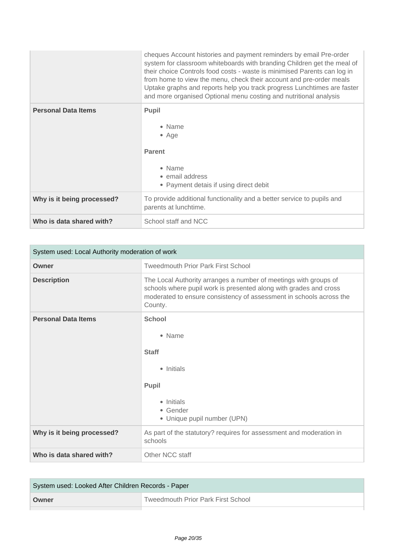|                            | cheques Account histories and payment reminders by email Pre-order<br>system for classroom whiteboards with branding Children get the meal of<br>their choice Controls food costs - waste is minimised Parents can log in<br>from home to view the menu, check their account and pre-order meals<br>Uptake graphs and reports help you track progress Lunchtimes are faster<br>and more organised Optional menu costing and nutritional analysis |
|----------------------------|--------------------------------------------------------------------------------------------------------------------------------------------------------------------------------------------------------------------------------------------------------------------------------------------------------------------------------------------------------------------------------------------------------------------------------------------------|
| <b>Personal Data Items</b> | <b>Pupil</b><br>• Name<br>$\bullet$ Age<br><b>Parent</b><br>• Name<br>• email address<br>• Payment detais if using direct debit                                                                                                                                                                                                                                                                                                                  |
| Why is it being processed? | To provide additional functionality and a better service to pupils and<br>parents at lunchtime.                                                                                                                                                                                                                                                                                                                                                  |
| Who is data shared with?   | School staff and NCC                                                                                                                                                                                                                                                                                                                                                                                                                             |

| System used: Local Authority moderation of work |                                                                                                                                                                                                                         |
|-------------------------------------------------|-------------------------------------------------------------------------------------------------------------------------------------------------------------------------------------------------------------------------|
| Owner                                           | <b>Tweedmouth Prior Park First School</b>                                                                                                                                                                               |
| <b>Description</b>                              | The Local Authority arranges a number of meetings with groups of<br>schools where pupil work is presented along with grades and cross<br>moderated to ensure consistency of assessment in schools across the<br>County. |
| <b>Personal Data Items</b>                      | <b>School</b><br>• Name<br><b>Staff</b><br>• Initials<br>Pupil<br>• Initials<br>• Gender<br>• Unique pupil number (UPN)                                                                                                 |
| Why is it being processed?                      | As part of the statutory? requires for assessment and moderation in<br>schools                                                                                                                                          |
| Who is data shared with?                        | Other NCC staff                                                                                                                                                                                                         |

| System used: Looked After Children Records - Paper |                                           |
|----------------------------------------------------|-------------------------------------------|
| Owner                                              | <b>Tweedmouth Prior Park First School</b> |
|                                                    |                                           |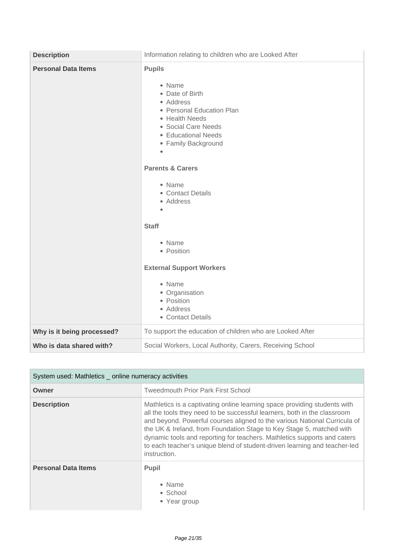| <b>Description</b>         | Information relating to children who are Looked After                                                                                                                                                                                                                                                       |
|----------------------------|-------------------------------------------------------------------------------------------------------------------------------------------------------------------------------------------------------------------------------------------------------------------------------------------------------------|
| <b>Personal Data Items</b> | <b>Pupils</b><br>• Name<br>• Date of Birth<br>• Address<br>• Personal Education Plan<br>• Health Needs<br>• Social Care Needs<br>• Educational Needs<br>• Family Background<br><b>Parents &amp; Carers</b><br>• Name<br>• Contact Details<br>• Address<br>$\bullet$<br><b>Staff</b><br>• Name<br>• Position |
|                            | <b>External Support Workers</b><br>• Name<br>• Organisation<br>• Position<br>• Address<br>• Contact Details                                                                                                                                                                                                 |
| Why is it being processed? | To support the education of children who are Looked After                                                                                                                                                                                                                                                   |
| Who is data shared with?   | Social Workers, Local Authority, Carers, Receiving School                                                                                                                                                                                                                                                   |

| System used: Mathletics _ online numeracy activities |                                                                                                                                                                                                                                                                                                                                                                                                                                                                                     |
|------------------------------------------------------|-------------------------------------------------------------------------------------------------------------------------------------------------------------------------------------------------------------------------------------------------------------------------------------------------------------------------------------------------------------------------------------------------------------------------------------------------------------------------------------|
| Owner                                                | <b>Tweedmouth Prior Park First School</b>                                                                                                                                                                                                                                                                                                                                                                                                                                           |
| <b>Description</b>                                   | Mathletics is a captivating online learning space providing students with<br>all the tools they need to be successful learners, both in the classroom<br>and beyond. Powerful courses aligned to the various National Curricula of<br>the UK & Ireland, from Foundation Stage to Key Stage 5, matched with<br>dynamic tools and reporting for teachers. Mathletics supports and caters<br>to each teacher's unique blend of student-driven learning and teacher-led<br>instruction. |
| <b>Personal Data Items</b>                           | <b>Pupil</b><br>• Name<br>• School<br>• Year group                                                                                                                                                                                                                                                                                                                                                                                                                                  |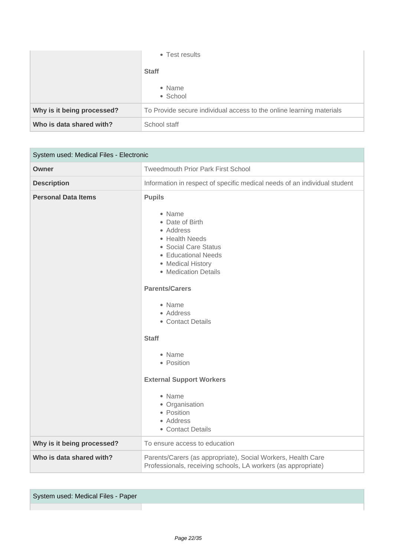|                            | • Test results                                                       |
|----------------------------|----------------------------------------------------------------------|
|                            | <b>Staff</b>                                                         |
|                            | • Name<br>• School                                                   |
| Why is it being processed? | To Provide secure individual access to the online learning materials |
| Who is data shared with?   | School staff                                                         |

| System used: Medical Files - Electronic |                                                                                                                                                                                                                                                                                                                                                                                                   |
|-----------------------------------------|---------------------------------------------------------------------------------------------------------------------------------------------------------------------------------------------------------------------------------------------------------------------------------------------------------------------------------------------------------------------------------------------------|
| Owner                                   | <b>Tweedmouth Prior Park First School</b>                                                                                                                                                                                                                                                                                                                                                         |
| <b>Description</b>                      | Information in respect of specific medical needs of an individual student                                                                                                                                                                                                                                                                                                                         |
| <b>Personal Data Items</b>              | <b>Pupils</b><br>• Name<br>• Date of Birth<br>• Address<br>• Health Needs<br>• Social Care Status<br>• Educational Needs<br>• Medical History<br>• Medication Details<br><b>Parents/Carers</b><br>• Name<br>• Address<br>• Contact Details<br><b>Staff</b><br>• Name<br>• Position<br><b>External Support Workers</b><br>• Name<br>• Organisation<br>• Position<br>• Address<br>• Contact Details |
| Why is it being processed?              | To ensure access to education                                                                                                                                                                                                                                                                                                                                                                     |
| Who is data shared with?                | Parents/Carers (as appropriate), Social Workers, Health Care<br>Professionals, receiving schools, LA workers (as appropriate)                                                                                                                                                                                                                                                                     |

System used: Medical Files - Paper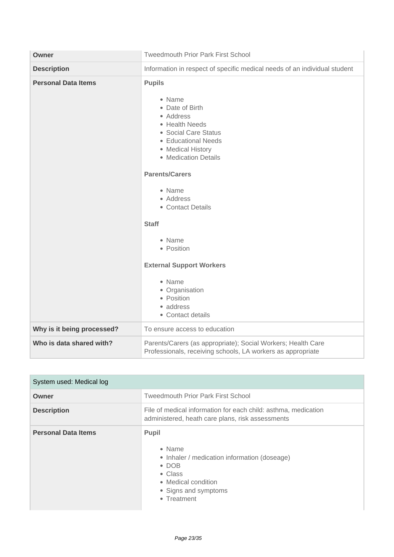| Owner                      | <b>Tweedmouth Prior Park First School</b>                                                                                                                                                                                                                                                                                                                                                         |
|----------------------------|---------------------------------------------------------------------------------------------------------------------------------------------------------------------------------------------------------------------------------------------------------------------------------------------------------------------------------------------------------------------------------------------------|
| <b>Description</b>         | Information in respect of specific medical needs of an individual student                                                                                                                                                                                                                                                                                                                         |
| <b>Personal Data Items</b> | <b>Pupils</b><br>• Name<br>• Date of Birth<br>• Address<br>• Health Needs<br>• Social Care Status<br>• Educational Needs<br>• Medical History<br>• Medication Details<br><b>Parents/Carers</b><br>• Name<br>• Address<br>• Contact Details<br><b>Staff</b><br>• Name<br>• Position<br><b>External Support Workers</b><br>• Name<br>• Organisation<br>• Position<br>• address<br>• Contact details |
| Why is it being processed? | To ensure access to education                                                                                                                                                                                                                                                                                                                                                                     |
| Who is data shared with?   | Parents/Carers (as appropriate); Social Workers; Health Care<br>Professionals, receiving schools, LA workers as appropriate                                                                                                                                                                                                                                                                       |

| System used: Medical log   |                                                                                                                                                                                  |
|----------------------------|----------------------------------------------------------------------------------------------------------------------------------------------------------------------------------|
| Owner                      | <b>Tweedmouth Prior Park First School</b>                                                                                                                                        |
| <b>Description</b>         | File of medical information for each child: asthma, medication<br>administered, heath care plans, risk assessments                                                               |
| <b>Personal Data Items</b> | <b>Pupil</b><br>$\bullet$ Name<br>• Inhaler / medication information (doseage)<br>$\bullet$ DOB<br>$\bullet$ Class<br>• Medical condition<br>• Signs and symptoms<br>• Treatment |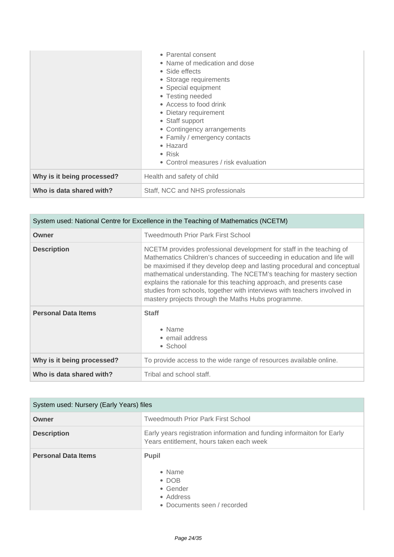|                            | • Parental consent<br>• Name of medication and dose<br>• Side effects<br>• Storage requirements<br>• Special equipment<br>• Testing needed<br>• Access to food drink<br>• Dietary requirement<br>• Staff support<br>• Contingency arrangements<br>• Family / emergency contacts<br>• Hazard<br>$\bullet$ Risk<br>• Control measures / risk evaluation |
|----------------------------|-------------------------------------------------------------------------------------------------------------------------------------------------------------------------------------------------------------------------------------------------------------------------------------------------------------------------------------------------------|
| Why is it being processed? | Health and safety of child                                                                                                                                                                                                                                                                                                                            |
| Who is data shared with?   | Staff, NCC and NHS professionals                                                                                                                                                                                                                                                                                                                      |

| System used: National Centre for Excellence in the Teaching of Mathematics (NCETM) |                                                                                                                                                                                                                                                                                                                                                                                                                                                                                                              |
|------------------------------------------------------------------------------------|--------------------------------------------------------------------------------------------------------------------------------------------------------------------------------------------------------------------------------------------------------------------------------------------------------------------------------------------------------------------------------------------------------------------------------------------------------------------------------------------------------------|
| Owner                                                                              | <b>Tweedmouth Prior Park First School</b>                                                                                                                                                                                                                                                                                                                                                                                                                                                                    |
| <b>Description</b>                                                                 | NCETM provides professional development for staff in the teaching of<br>Mathematics Children's chances of succeeding in education and life will<br>be maximised if they develop deep and lasting procedural and conceptual<br>mathematical understanding. The NCETM's teaching for mastery section<br>explains the rationale for this teaching approach, and presents case<br>studies from schools, together with interviews with teachers involved in<br>mastery projects through the Maths Hubs programme. |
| <b>Personal Data Items</b>                                                         | <b>Staff</b><br>• Name<br>• email address<br>• School                                                                                                                                                                                                                                                                                                                                                                                                                                                        |
| Why is it being processed?                                                         | To provide access to the wide range of resources available online.                                                                                                                                                                                                                                                                                                                                                                                                                                           |
| Who is data shared with?                                                           | Tribal and school staff.                                                                                                                                                                                                                                                                                                                                                                                                                                                                                     |

| System used: Nursery (Early Years) files |                                                                                                                    |
|------------------------------------------|--------------------------------------------------------------------------------------------------------------------|
| Owner                                    | <b>Tweedmouth Prior Park First School</b>                                                                          |
| <b>Description</b>                       | Early years registration information and funding informaiton for Early<br>Years entitlement, hours taken each week |
| <b>Personal Data Items</b>               | <b>Pupil</b><br>$\bullet$ Name<br>$\bullet$ DOB<br>• Gender<br>• Address<br>• Documents seen / recorded            |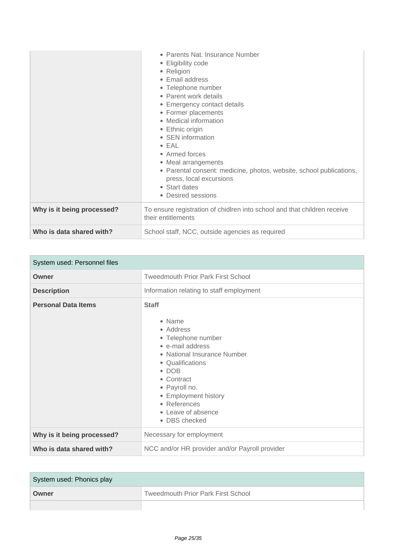|                            | • Parents Nat. Insurance Number<br>• Eligibility code<br>• Religion<br>• Email address<br>• Telephone number<br>• Parent work details<br>• Emergency contact details<br>• Former placements<br>• Medical information<br>• Ethnic origin<br>• SEN information<br>$\bullet$ EAL<br>• Armed forces<br>• Meal arrangements<br>• Parental consent: medicine, photos, website, school publications,<br>press, local excursions<br>• Start dates<br>• Desired sessions |
|----------------------------|-----------------------------------------------------------------------------------------------------------------------------------------------------------------------------------------------------------------------------------------------------------------------------------------------------------------------------------------------------------------------------------------------------------------------------------------------------------------|
| Why is it being processed? | To ensure registration of chidlren into school and that children receive<br>their entitlements                                                                                                                                                                                                                                                                                                                                                                  |
| Who is data shared with?   | School staff, NCC, outside agencies as required                                                                                                                                                                                                                                                                                                                                                                                                                 |

| System used: Personnel files |                                                                                                                                                                                                                                                                 |
|------------------------------|-----------------------------------------------------------------------------------------------------------------------------------------------------------------------------------------------------------------------------------------------------------------|
| Owner                        | <b>Tweedmouth Prior Park First School</b>                                                                                                                                                                                                                       |
| <b>Description</b>           | Information relating to staff employment                                                                                                                                                                                                                        |
| <b>Personal Data Items</b>   | <b>Staff</b><br>• Name<br>• Address<br>• Telephone number<br>• e-mail address<br>• National Insurance Number<br>• Qualifications<br>$\bullet$ DOB<br>• Contract<br>• Payroll no.<br>• Employment history<br>• References<br>• Leave of absence<br>• DBS checked |
| Why is it being processed?   | Necessary for employment                                                                                                                                                                                                                                        |
| Who is data shared with?     | NCC and/or HR provider and/or Payroll provider                                                                                                                                                                                                                  |

| System used: Phonics play |                                           |
|---------------------------|-------------------------------------------|
| Owner                     | <b>Tweedmouth Prior Park First School</b> |
|                           |                                           |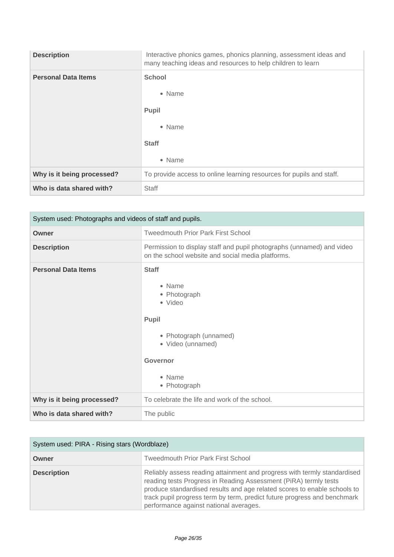| <b>Description</b>         | Interactive phonics games, phonics planning, assessment ideas and<br>many teaching ideas and resources to help children to learn |
|----------------------------|----------------------------------------------------------------------------------------------------------------------------------|
| <b>Personal Data Items</b> | <b>School</b><br>• Name<br>Pupil<br>• Name<br><b>Staff</b><br>• Name                                                             |
| Why is it being processed? | To provide access to online learning resources for pupils and staff.                                                             |
| Who is data shared with?   | <b>Staff</b>                                                                                                                     |

| System used: Photographs and videos of staff and pupils. |                                                                                                                                                        |
|----------------------------------------------------------|--------------------------------------------------------------------------------------------------------------------------------------------------------|
| Owner                                                    | <b>Tweedmouth Prior Park First School</b>                                                                                                              |
| <b>Description</b>                                       | Permission to display staff and pupil photographs (unnamed) and video<br>on the school website and social media platforms.                             |
| <b>Personal Data Items</b>                               | <b>Staff</b><br>• Name<br>• Photograph<br>• Video<br>Pupil<br>• Photograph (unnamed)<br>• Video (unnamed)<br><b>Governor</b><br>• Name<br>• Photograph |
| Why is it being processed?                               | To celebrate the life and work of the school.                                                                                                          |
| Who is data shared with?                                 | The public                                                                                                                                             |

| System used: PIRA - Rising stars (Wordblaze) |                                                                                                                                                                                                                                                                                                                                                |
|----------------------------------------------|------------------------------------------------------------------------------------------------------------------------------------------------------------------------------------------------------------------------------------------------------------------------------------------------------------------------------------------------|
| Owner                                        | <b>Tweedmouth Prior Park First School</b>                                                                                                                                                                                                                                                                                                      |
| <b>Description</b>                           | Reliably assess reading attainment and progress with termly standardised<br>reading tests Progress in Reading Assessment (PiRA) termly tests<br>produce standardised results and age related scores to enable schools to<br>track pupil progress term by term, predict future progress and benchmark<br>performance against national averages. |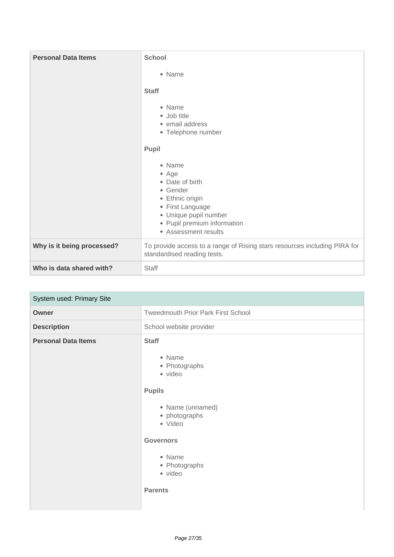| <b>Personal Data Items</b> | <b>School</b><br>• Name<br><b>Staff</b><br>• Name<br>• Job title<br>• email address<br>• Telephone number<br>Pupil<br>• Name<br>• Age<br>• Date of birth<br>• Gender<br>• Ethnic origin<br>• First Language<br>· Unique pupil number<br>• Pupil premium information |
|----------------------------|---------------------------------------------------------------------------------------------------------------------------------------------------------------------------------------------------------------------------------------------------------------------|
|                            | • Assessment results                                                                                                                                                                                                                                                |
| Why is it being processed? | To provide access to a range of Rising stars resources including PIRA for<br>standardised reading tests.                                                                                                                                                            |
| Who is data shared with?   | <b>Staff</b>                                                                                                                                                                                                                                                        |

| System used: Primary Site  |                                                                                                                                                                                                 |
|----------------------------|-------------------------------------------------------------------------------------------------------------------------------------------------------------------------------------------------|
| <b>Owner</b>               | <b>Tweedmouth Prior Park First School</b>                                                                                                                                                       |
| <b>Description</b>         | School website provider                                                                                                                                                                         |
| <b>Personal Data Items</b> | <b>Staff</b><br>• Name<br>• Photographs<br>· video<br><b>Pupils</b><br>• Name (unnamed)<br>• photographs<br>• Video<br><b>Governors</b><br>• Name<br>• Photographs<br>· video<br><b>Parents</b> |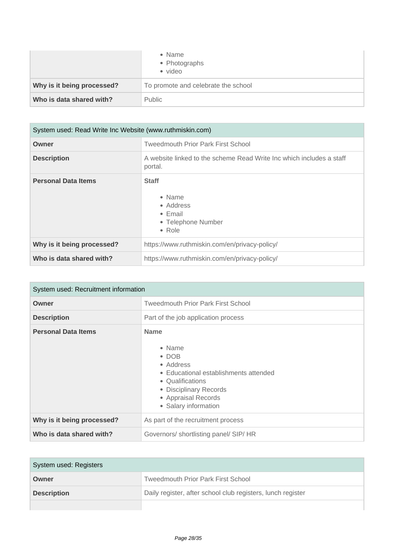|                            | • Name<br>• Photographs<br>• video  |
|----------------------------|-------------------------------------|
| Why is it being processed? | To promote and celebrate the school |
| Who is data shared with?   | Public                              |

| System used: Read Write Inc Website (www.ruthmiskin.com) |                                                                                                        |
|----------------------------------------------------------|--------------------------------------------------------------------------------------------------------|
| Owner                                                    | <b>Tweedmouth Prior Park First School</b>                                                              |
| <b>Description</b>                                       | A website linked to the scheme Read Write Inc which includes a staff<br>portal.                        |
| <b>Personal Data Items</b>                               | <b>Staff</b><br>$\bullet$ Name<br>• Address<br>$\bullet$ Email<br>• Telephone Number<br>$\bullet$ Role |
| Why is it being processed?                               | https://www.ruthmiskin.com/en/privacy-policy/                                                          |
| Who is data shared with?                                 | https://www.ruthmiskin.com/en/privacy-policy/                                                          |

| System used: Recruitment information |                                                                                                                                                                                           |
|--------------------------------------|-------------------------------------------------------------------------------------------------------------------------------------------------------------------------------------------|
| Owner                                | <b>Tweedmouth Prior Park First School</b>                                                                                                                                                 |
| <b>Description</b>                   | Part of the job application process                                                                                                                                                       |
| <b>Personal Data Items</b>           | <b>Name</b><br>• Name<br>$\bullet$ DOB<br>• Address<br>• Educational establishments attended<br>• Qualifications<br>• Disciplinary Records<br>• Appraisal Records<br>• Salary information |
| Why is it being processed?           | As part of the recruitment process                                                                                                                                                        |
| Who is data shared with?             | Governors/ shortlisting panel/ SIP/ HR                                                                                                                                                    |

| System used: Registers |                                                             |
|------------------------|-------------------------------------------------------------|
| Owner                  | <b>Tweedmouth Prior Park First School</b>                   |
| <b>Description</b>     | Daily register, after school club registers, lunch register |
|                        |                                                             |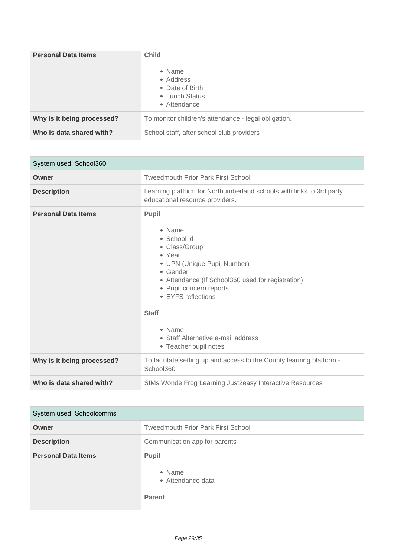| <b>Personal Data Items</b> | <b>Child</b><br>• Name<br>• Address<br>• Date of Birth<br>• Lunch Status<br>• Attendance |
|----------------------------|------------------------------------------------------------------------------------------|
| Why is it being processed? | To monitor children's attendance - legal obligation.                                     |
| Who is data shared with?   | School staff, after school club providers                                                |

| System used: School360     |                                                                                                                                                                                                                                                                                                                    |
|----------------------------|--------------------------------------------------------------------------------------------------------------------------------------------------------------------------------------------------------------------------------------------------------------------------------------------------------------------|
| Owner                      | <b>Tweedmouth Prior Park First School</b>                                                                                                                                                                                                                                                                          |
| <b>Description</b>         | Learning platform for Northumberland schools with links to 3rd party<br>educational resource providers.                                                                                                                                                                                                            |
| <b>Personal Data Items</b> | <b>Pupil</b><br>• Name<br>• School id<br>• Class/Group<br>• Year<br>• UPN (Unique Pupil Number)<br>$\bullet$ Gender<br>• Attendance (If School360 used for registration)<br>• Pupil concern reports<br>• EYFS reflections<br><b>Staff</b><br>• Name<br>• Staff Alternative e-mail address<br>• Teacher pupil notes |
| Why is it being processed? | To facilitate setting up and access to the County learning platform -<br>School360                                                                                                                                                                                                                                 |
| Who is data shared with?   | SIMs Wonde Frog Learning Just 2 easy Interactive Resources                                                                                                                                                                                                                                                         |

| System used: Schoolcomms   |                                                              |
|----------------------------|--------------------------------------------------------------|
| Owner                      | <b>Tweedmouth Prior Park First School</b>                    |
| <b>Description</b>         | Communication app for parents                                |
| <b>Personal Data Items</b> | <b>Pupil</b><br>• Name<br>• Attendance data<br><b>Parent</b> |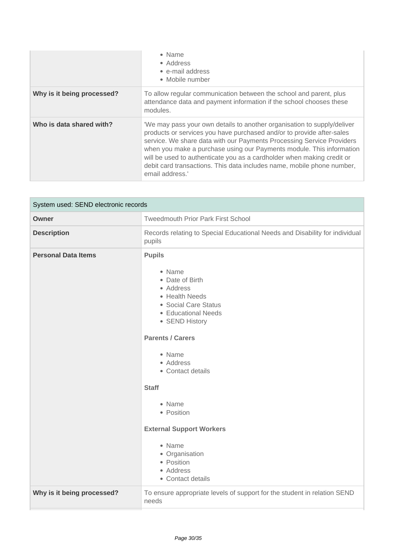|                            | • Name<br>• Address<br>• e-mail address<br>• Mobile number                                                                                                                                                                                                                                                                                                                                                                                                               |
|----------------------------|--------------------------------------------------------------------------------------------------------------------------------------------------------------------------------------------------------------------------------------------------------------------------------------------------------------------------------------------------------------------------------------------------------------------------------------------------------------------------|
| Why is it being processed? | To allow regular communication between the school and parent, plus<br>attendance data and payment information if the school chooses these<br>modules.                                                                                                                                                                                                                                                                                                                    |
| Who is data shared with?   | 'We may pass your own details to another organisation to supply/deliver<br>products or services you have purchased and/or to provide after-sales<br>service. We share data with our Payments Processing Service Providers<br>when you make a purchase using our Payments module. This information<br>will be used to authenticate you as a cardholder when making credit or<br>debit card transactions. This data includes name, mobile phone number,<br>email address.' |

| System used: SEND electronic records |                                                                                                                                                                                                                                                                                                                                                                          |
|--------------------------------------|--------------------------------------------------------------------------------------------------------------------------------------------------------------------------------------------------------------------------------------------------------------------------------------------------------------------------------------------------------------------------|
| Owner                                | <b>Tweedmouth Prior Park First School</b>                                                                                                                                                                                                                                                                                                                                |
| <b>Description</b>                   | Records relating to Special Educational Needs and Disability for individual<br>pupils                                                                                                                                                                                                                                                                                    |
| <b>Personal Data Items</b>           | <b>Pupils</b><br>• Name<br>• Date of Birth<br>• Address<br>• Health Needs<br>• Social Care Status<br>• Educational Needs<br>• SEND History<br><b>Parents / Carers</b><br>• Name<br>• Address<br>• Contact details<br><b>Staff</b><br>• Name<br>• Position<br><b>External Support Workers</b><br>• Name<br>• Organisation<br>• Position<br>• Address<br>• Contact details |
| Why is it being processed?           | To ensure appropriate levels of support for the student in relation SEND<br>needs                                                                                                                                                                                                                                                                                        |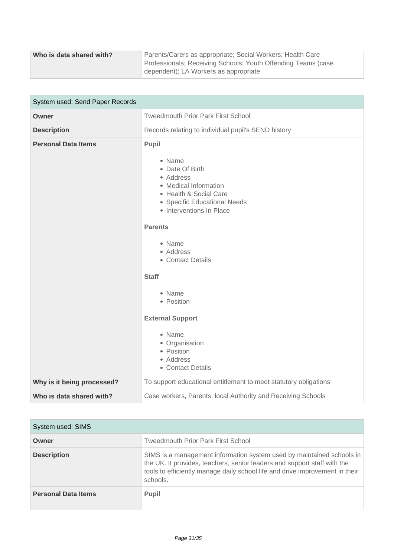| Who is data shared with? | Parents/Carers as appropriate; Social Workers; Health Care    |
|--------------------------|---------------------------------------------------------------|
|                          | Professionals; Receiving Schools; Youth Offending Teams (case |
|                          | dependent); LA Workers as appropriate                         |

| System used: Send Paper Records |                                                                                                                                                                                                                                                                                                                                                                             |
|---------------------------------|-----------------------------------------------------------------------------------------------------------------------------------------------------------------------------------------------------------------------------------------------------------------------------------------------------------------------------------------------------------------------------|
| Owner                           | <b>Tweedmouth Prior Park First School</b>                                                                                                                                                                                                                                                                                                                                   |
| <b>Description</b>              | Records relating to individual pupil's SEND history                                                                                                                                                                                                                                                                                                                         |
| <b>Personal Data Items</b>      | Pupil<br>• Name<br>• Date Of Birth<br>• Address<br>• Medical Information<br>• Health & Social Care<br>• Specific Educational Needs<br>• Interventions In Place<br><b>Parents</b><br>• Name<br>• Address<br>• Contact Details<br><b>Staff</b><br>• Name<br>• Position<br><b>External Support</b><br>• Name<br>• Organisation<br>• Position<br>• Address<br>• Contact Details |
| Why is it being processed?      | To support educational entitlement to meet statutory obligations                                                                                                                                                                                                                                                                                                            |
| Who is data shared with?        | Case workers, Parents, local Authority and Receiving Schools                                                                                                                                                                                                                                                                                                                |

| System used: SIMS          |                                                                                                                                                                                                                                               |
|----------------------------|-----------------------------------------------------------------------------------------------------------------------------------------------------------------------------------------------------------------------------------------------|
| Owner                      | <b>Tweedmouth Prior Park First School</b>                                                                                                                                                                                                     |
| <b>Description</b>         | SIMS is a management information system used by maintained schools in<br>the UK. It provides, teachers, senior leaders and support staff with the<br>tools to efficiently manage daily school life and drive improvement in their<br>schools. |
| <b>Personal Data Items</b> | <b>Pupil</b>                                                                                                                                                                                                                                  |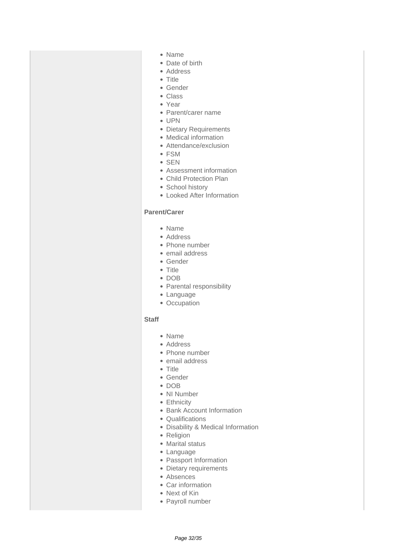- Name
- Date of birth
- Address
- Title
- Gender
- Class
- Year
- Parent/carer name
- UPN
- Dietary Requirements
- Medical information
- Attendance/exclusion
- FSM
- SEN
- Assessment information
- Child Protection Plan
- School history
- Looked After Information

### **Parent/Carer**

- Name
- Address
- Phone number
- email address
- Gender
- Title
- DOB
- Parental responsibility
- Language
- Occupation

#### **Staff**

- Name
- Address
- Phone number
- email address
- Title
- Gender
- DOB
- NI Number
- Ethnicity
- Bank Account Information
- Qualifications
- Disability & Medical Information
- Religion
- Marital status
- Language
- Passport Information
- Dietary requirements
- Absences
- Car information
- Next of Kin
- Payroll number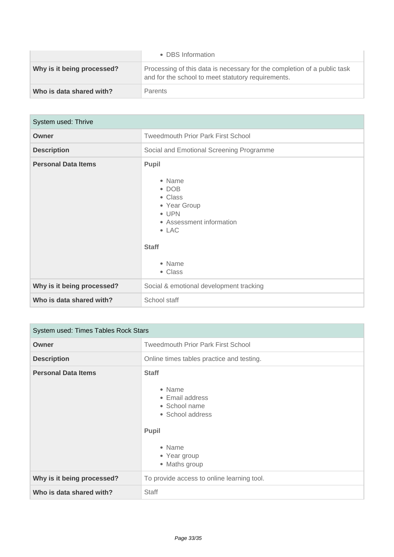|                            | • DBS Information                                                                                                              |
|----------------------------|--------------------------------------------------------------------------------------------------------------------------------|
| Why is it being processed? | Processing of this data is necessary for the completion of a public task<br>and for the school to meet statutory requirements. |
| Who is data shared with?   | <b>Parents</b>                                                                                                                 |

| System used: Thrive        |                                                                                                                                                                       |
|----------------------------|-----------------------------------------------------------------------------------------------------------------------------------------------------------------------|
| <b>Owner</b>               | <b>Tweedmouth Prior Park First School</b>                                                                                                                             |
| <b>Description</b>         | Social and Emotional Screening Programme                                                                                                                              |
| <b>Personal Data Items</b> | <b>Pupil</b><br>• Name<br>$\bullet$ DOB<br>• Class<br>• Year Group<br>$\bullet$ UPN<br>• Assessment information<br>$\bullet$ LAC<br><b>Staff</b><br>• Name<br>• Class |
| Why is it being processed? | Social & emotional development tracking                                                                                                                               |
| Who is data shared with?   | School staff                                                                                                                                                          |

| System used: Times Tables Rock Stars |                                                                                                                                           |
|--------------------------------------|-------------------------------------------------------------------------------------------------------------------------------------------|
| Owner                                | <b>Tweedmouth Prior Park First School</b>                                                                                                 |
| <b>Description</b>                   | Online times tables practice and testing.                                                                                                 |
| <b>Personal Data Items</b>           | <b>Staff</b><br>• Name<br>• Email address<br>• School name<br>• School address<br><b>Pupil</b><br>• Name<br>• Year group<br>• Maths group |
| Why is it being processed?           | To provide access to online learning tool.                                                                                                |
| Who is data shared with?             | <b>Staff</b>                                                                                                                              |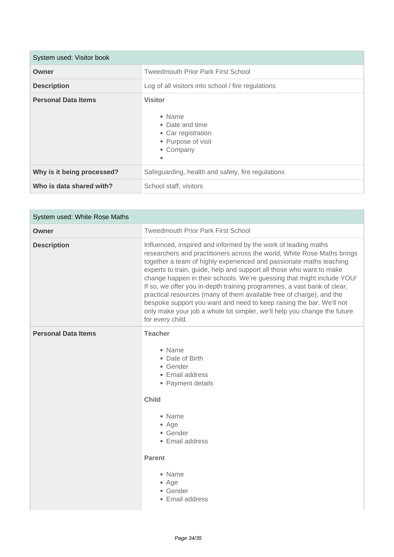| System used: Visitor book  |                                                                                                           |
|----------------------------|-----------------------------------------------------------------------------------------------------------|
| Owner                      | <b>Tweedmouth Prior Park First School</b>                                                                 |
| <b>Description</b>         | Log of all visitors into school / fire regulations                                                        |
| <b>Personal Data Items</b> | <b>Visitor</b><br>• Name<br>• Date and time<br>• Car registration<br>• Purpose of visit<br>• Company<br>٠ |
| Why is it being processed? | Safeguarding, health and safety, fire regulations                                                         |
| Who is data shared with?   | School staff, visitors                                                                                    |

m.

| System used: White Rose Maths |                                                                                                                                                                                                                                                                                                                                                                                                                                                                                                                                                                                                                                                                                               |
|-------------------------------|-----------------------------------------------------------------------------------------------------------------------------------------------------------------------------------------------------------------------------------------------------------------------------------------------------------------------------------------------------------------------------------------------------------------------------------------------------------------------------------------------------------------------------------------------------------------------------------------------------------------------------------------------------------------------------------------------|
| Owner                         | <b>Tweedmouth Prior Park First School</b>                                                                                                                                                                                                                                                                                                                                                                                                                                                                                                                                                                                                                                                     |
| <b>Description</b>            | Influenced, inspired and informed by the work of leading maths<br>researchers and practitioners across the world, White Rose Maths brings<br>together a team of highly experienced and passionate maths teaching<br>experts to train, guide, help and support all those who want to make<br>change happen in their schools. We're guessing that might include YOU!<br>If so, we offer you in-depth training programmes, a vast bank of clear,<br>practical resources (many of them available free of charge), and the<br>bespoke support you want and need to keep raising the bar. We'll not<br>only make your job a whole lot simpler, we'll help you change the future<br>for every child. |
| <b>Personal Data Items</b>    | <b>Teacher</b><br>• Name<br>• Date of Birth<br>• Gender<br>• Email address<br>• Payment details<br><b>Child</b><br>• Name<br>• Age<br>• Gender<br>• Email address<br><b>Parent</b><br>• Name<br>• Age<br>• Gender<br>• Email address                                                                                                                                                                                                                                                                                                                                                                                                                                                          |